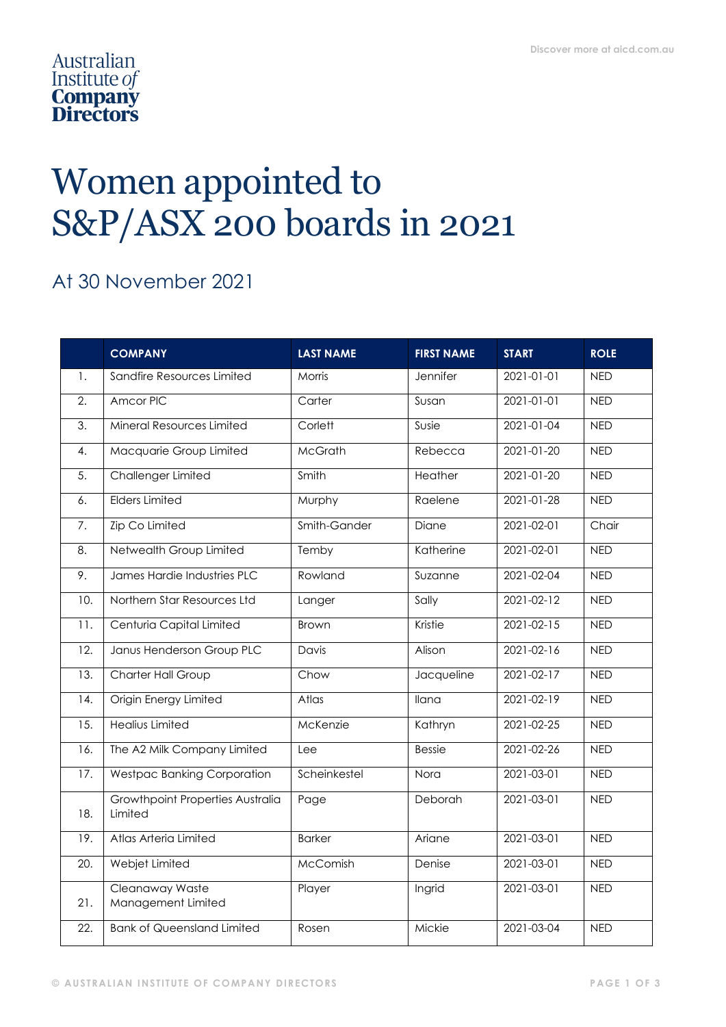## Australian Institute of **Company**<br> **Directors**

## Women appointed to S&P/ASX 200 boards in 2021

## At 30 November 2021

|                   | <b>COMPANY</b>                              | <b>LAST NAME</b> | <b>FIRST NAME</b> | <b>START</b>     | <b>ROLE</b> |
|-------------------|---------------------------------------------|------------------|-------------------|------------------|-------------|
| 1.                | Sandfire Resources Limited                  | Morris           | Jennifer          | 2021-01-01       | <b>NED</b>  |
| 2.                | Amcor PIC                                   | Carter           | Susan             | 2021-01-01       | <b>NED</b>  |
| $\overline{3}$ .  | Mineral Resources Limited                   | Corlett          | Susie             | 2021-01-04       | <b>NED</b>  |
| 4.                | Macquarie Group Limited                     | <b>McGrath</b>   | Rebecca           | 2021-01-20       | <b>NED</b>  |
| 5.                | Challenger Limited                          | Smith            | Heather           | 2021-01-20       | <b>NED</b>  |
| 6.                | Elders Limited                              | Murphy           | Raelene           | $2021 - 01 - 28$ | <b>NED</b>  |
| 7.                | <b>Zip Co Limited</b>                       | Smith-Gander     | Diane             | 2021-02-01       | Chair       |
| 8.                | Netwealth Group Limited                     | Temby            | Katherine         | 2021-02-01       | <b>NED</b>  |
| 9.                | James Hardie Industries PLC                 | Rowland          | Suzanne           | 2021-02-04       | <b>NED</b>  |
| 10.               | Northern Star Resources Ltd                 | Langer           | Sally             | $2021 - 02 - 12$ | <b>NED</b>  |
| 11.               | Centuria Capital Limited                    | <b>Brown</b>     | Kristie           | 2021-02-15       | <b>NED</b>  |
| 12.               | Janus Henderson Group PLC                   | Davis            | Alison            | $2021 - 02 - 16$ | <b>NED</b>  |
| 13.               | Charter Hall Group                          | Chow             | Jacqueline        | 2021-02-17       | <b>NED</b>  |
| $\overline{14}$ . | Origin Energy Limited                       | Atlas            | Ilana             | $2021 - 02 - 19$ | <b>NED</b>  |
| 15.               | <b>Healius Limited</b>                      | McKenzie         | Kathryn           | 2021-02-25       | <b>NED</b>  |
| 16.               | The A2 Milk Company Limited                 | Lee              | <b>Bessie</b>     | 2021-02-26       | <b>NED</b>  |
| 17.               | <b>Westpac Banking Corporation</b>          | Scheinkestel     | Nora              | 2021-03-01       | <b>NED</b>  |
| 18.               | Growthpoint Properties Australia<br>Limited | Page             | Deborah           | 2021-03-01       | <b>NED</b>  |
| 19.               | Atlas Arteria Limited                       | <b>Barker</b>    | Ariane            | 2021-03-01       | <b>NED</b>  |
| 20.               | Webjet Limited                              | McComish         | Denise            | 2021-03-01       | <b>NED</b>  |
| 21.               | Cleanaway Waste<br>Management Limited       | Player           | Ingrid            | 2021-03-01       | <b>NED</b>  |
| 22.               | <b>Bank of Queensland Limited</b>           | Rosen            | Mickie            | 2021-03-04       | <b>NED</b>  |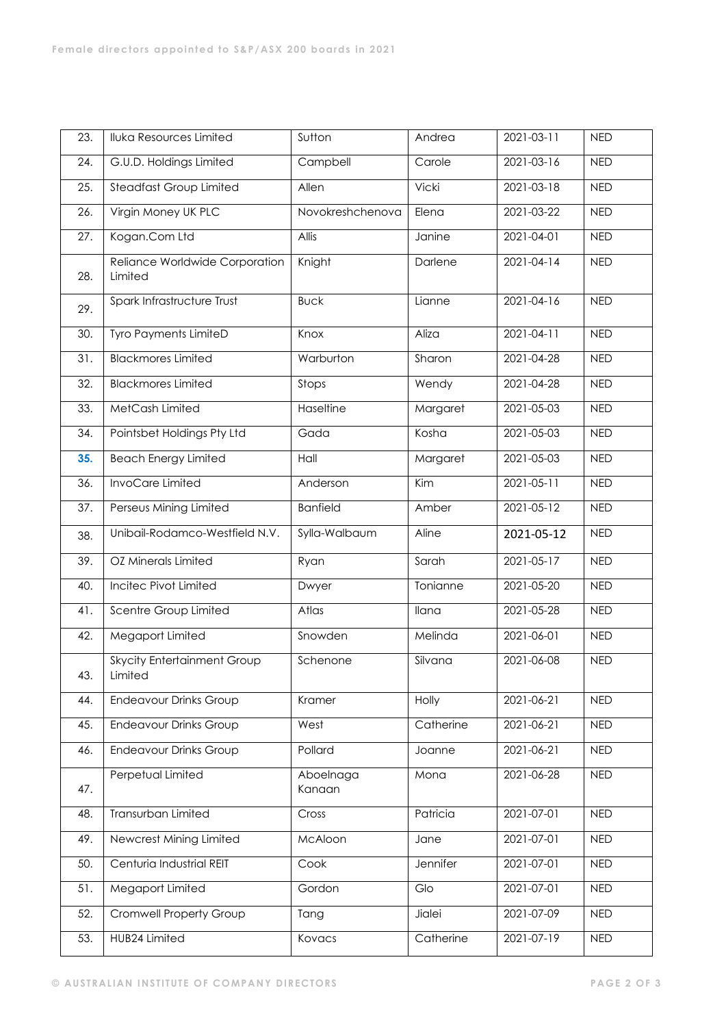| 23. | <b>Iluka Resources Limited</b>                | Sutton              | Andrea           | 2021-03-11       | <b>NED</b> |
|-----|-----------------------------------------------|---------------------|------------------|------------------|------------|
| 24. | G.U.D. Holdings Limited                       | Campbell            | Carole           | 2021-03-16       | <b>NED</b> |
| 25. | <b>Steadfast Group Limited</b>                | Allen               | <b>Vicki</b>     | 2021-03-18       | <b>NED</b> |
| 26. | Virgin Money UK PLC                           | Novokreshchenova    | Elena            | 2021-03-22       | <b>NED</b> |
| 27. | Kogan.Com Ltd                                 | Allis               | Janine           | 2021-04-01       | <b>NED</b> |
| 28. | Reliance Worldwide Corporation<br>Limited     | Knight              | Darlene          | 2021-04-14       | <b>NED</b> |
| 29. | Spark Infrastructure Trust                    | <b>Buck</b>         | Lianne           | 2021-04-16       | <b>NED</b> |
| 30. | Tyro Payments LimiteD                         | Knox                | Aliza            | 2021-04-11       | <b>NED</b> |
| 31. | <b>Blackmores Limited</b>                     | Warburton           | Sharon           | 2021-04-28       | <b>NED</b> |
| 32. | <b>Blackmores Limited</b>                     | Stops               | Wendy            | 2021-04-28       | <b>NED</b> |
| 33. | MetCash Limited                               | Haseltine           | Margaret         | 2021-05-03       | <b>NED</b> |
| 34. | Pointsbet Holdings Pty Ltd                    | Gada                | Kosha            | 2021-05-03       | <b>NED</b> |
| 35. | <b>Beach Energy Limited</b>                   | Hall                | Margaret         | 2021-05-03       | <b>NED</b> |
| 36. | InvoCare Limited                              | Anderson            | $\overline{Kim}$ | $2021 - 05 - 11$ | <b>NED</b> |
| 37. | Perseus Mining Limited                        | <b>Banfield</b>     | Amber            | 2021-05-12       | <b>NED</b> |
| 38. | Unibail-Rodamco-Westfield N.V.                | Sylla-Walbaum       | Aline            | 2021-05-12       | <b>NED</b> |
| 39. | OZ Minerals Limited                           | Ryan                | Sarah            | 2021-05-17       | <b>NED</b> |
| 40. | Incitec Pivot Limited                         | Dwyer               | Tonianne         | 2021-05-20       | <b>NED</b> |
| 41. | Scentre Group Limited                         | Atlas               | Ilana            | 2021-05-28       | <b>NED</b> |
| 42. | Megaport Limited                              | Snowden             | Melinda          | 2021-06-01       | <b>NED</b> |
| 43. | <b>Skycity Entertainment Group</b><br>Limited | Schenone            | Silvana          | 2021-06-08       | <b>NED</b> |
| 44. | <b>Endeavour Drinks Group</b>                 | Kramer              | Holly            | 2021-06-21       | <b>NED</b> |
| 45. | <b>Endeavour Drinks Group</b>                 | West                | Catherine        | 2021-06-21       | <b>NED</b> |
| 46. | <b>Endeavour Drinks Group</b>                 | Pollard             | Joanne           | 2021-06-21       | <b>NED</b> |
| 47. | Perpetual Limited                             | Aboelnaga<br>Kanaan | Mona             | 2021-06-28       | <b>NED</b> |
| 48. | Transurban Limited                            | Cross               | Patricia         | 2021-07-01       | <b>NED</b> |
| 49. | Newcrest Mining Limited                       | McAloon             | Jane             | 2021-07-01       | <b>NED</b> |
| 50. | Centuria Industrial REIT                      | Cook                | Jennifer         | 2021-07-01       | <b>NED</b> |
| 51. | Megaport Limited                              | Gordon              | Glo              | 2021-07-01       | <b>NED</b> |
| 52. | Cromwell Property Group                       | Tang                | Jialei           | 2021-07-09       | <b>NED</b> |
| 53. | HUB24 Limited                                 | Kovacs              | Catherine        | 2021-07-19       | <b>NED</b> |